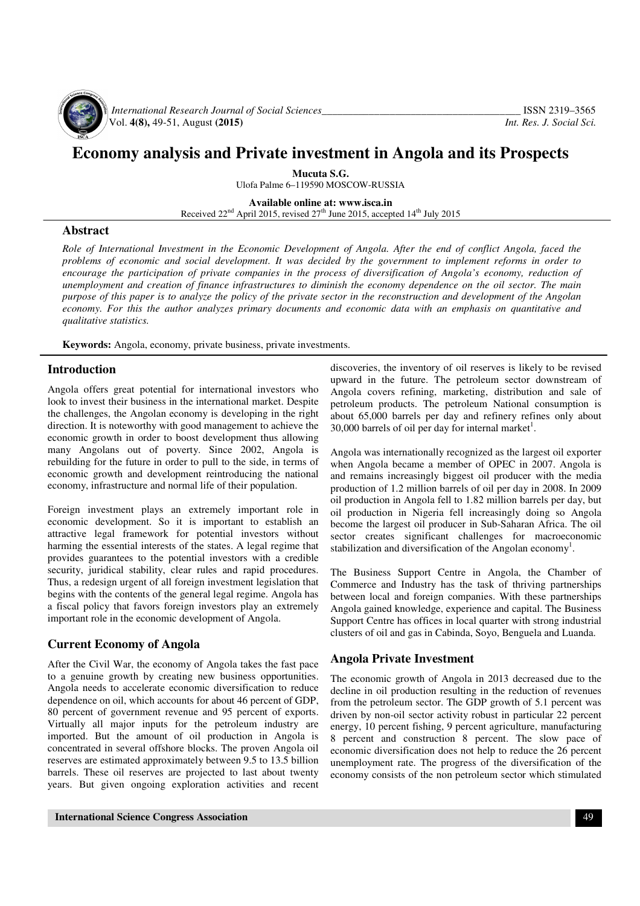

*International Research Journal of Social Sciences*<br>Vol. 4(8), 49-51, August (2015) *Int. Res. J. Social Sci.* Vol. **4(8),** 49-51, August **(2015)** *Int. Res. J. Social Sci.*

# **Economy analysis and Private investment in Angola and its Prospects**

**Mucuta S.G.**  Ulofa Palme 6–119590 MOSCOW-RUSSIA

**Available online at: www.isca.in**  Received  $22<sup>nd</sup>$  April 2015, revised  $27<sup>th</sup>$  June 2015, accepted 14<sup>th</sup> July 2015

## **Abstract**

*Role of International Investment in the Economic Development of Angola. After the end of conflict Angola, faced the problems of economic and social development. It was decided by the government to implement reforms in order to*  encourage the participation of private companies in the process of diversification of Angola's economy, reduction of *unemployment and creation of finance infrastructures to diminish the economy dependence on the oil sector. The main purpose of this paper is to analyze the policy of the private sector in the reconstruction and development of the Angolan economy. For this the author analyzes primary documents and economic data with an emphasis on quantitative and qualitative statistics.* 

**Keywords:** Angola, economy, private business, private investments.

### **Introduction**

Angola offers great potential for international investors who look to invest their business in the international market. Despite the challenges, the Angolan economy is developing in the right direction. It is noteworthy with good management to achieve the economic growth in order to boost development thus allowing many Angolans out of poverty. Since 2002, Angola is rebuilding for the future in order to pull to the side, in terms of economic growth and development reintroducing the national economy, infrastructure and normal life of their population.

Foreign investment plays an extremely important role in economic development. So it is important to establish an attractive legal framework for potential investors without harming the essential interests of the states. A legal regime that provides guarantees to the potential investors with a credible security, juridical stability, clear rules and rapid procedures. Thus, a redesign urgent of all foreign investment legislation that begins with the contents of the general legal regime. Angola has a fiscal policy that favors foreign investors play an extremely important role in the economic development of Angola.

### **Current Economy of Angola**

After the Civil War, the economy of Angola takes the fast pace to a genuine growth by creating new business opportunities. Angola needs to accelerate economic diversification to reduce dependence on oil, which accounts for about 46 percent of GDP, 80 percent of government revenue and 95 percent of exports. Virtually all major inputs for the petroleum industry are imported. But the amount of oil production in Angola is concentrated in several offshore blocks. The proven Angola oil reserves are estimated approximately between 9.5 to 13.5 billion barrels. These oil reserves are projected to last about twenty years. But given ongoing exploration activities and recent

discoveries, the inventory of oil reserves is likely to be revised upward in the future. The petroleum sector downstream of Angola covers refining, marketing, distribution and sale of petroleum products. The petroleum National consumption is about 65,000 barrels per day and refinery refines only about 30,000 barrels of oil per day for internal market<sup>1</sup>.

Angola was internationally recognized as the largest oil exporter when Angola became a member of OPEC in 2007. Angola is and remains increasingly biggest oil producer with the media production of 1.2 million barrels of oil per day in 2008. In 2009 oil production in Angola fell to 1.82 million barrels per day, but oil production in Nigeria fell increasingly doing so Angola become the largest oil producer in Sub-Saharan Africa. The oil sector creates significant challenges for macroeconomic stabilization and diversification of the Angolan economy<sup>1</sup>.

The Business Support Centre in Angola, the Chamber of Commerce and Industry has the task of thriving partnerships between local and foreign companies. With these partnerships Angola gained knowledge, experience and capital. The Business Support Centre has offices in local quarter with strong industrial clusters of oil and gas in Cabinda, Soyo, Benguela and Luanda.

#### **Angola Private Investment**

The economic growth of Angola in 2013 decreased due to the decline in oil production resulting in the reduction of revenues from the petroleum sector. The GDP growth of 5.1 percent was driven by non-oil sector activity robust in particular 22 percent energy, 10 percent fishing, 9 percent agriculture, manufacturing 8 percent and construction 8 percent. The slow pace of economic diversification does not help to reduce the 26 percent unemployment rate. The progress of the diversification of the economy consists of the non petroleum sector which stimulated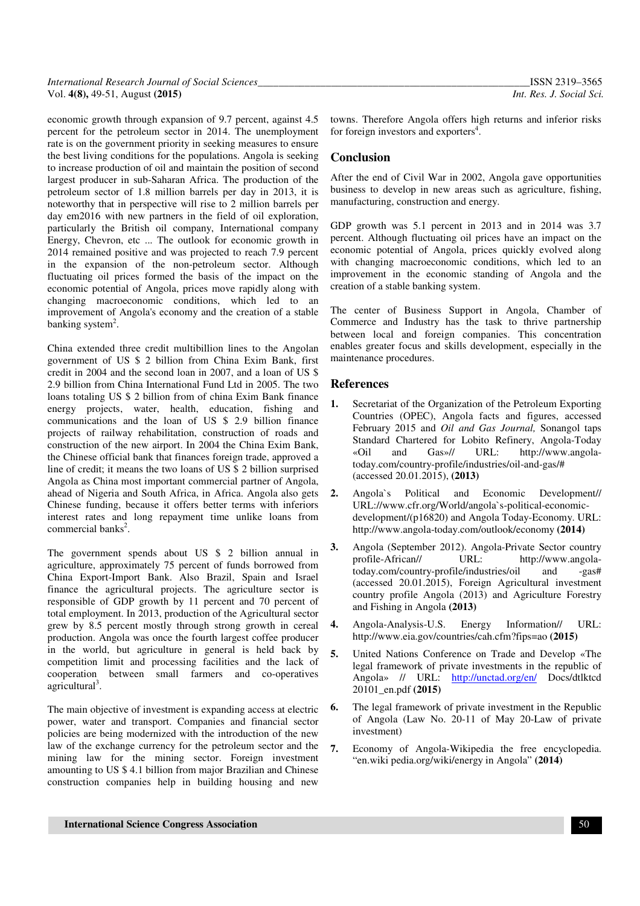economic growth through expansion of 9.7 percent, against 4.5 percent for the petroleum sector in 2014. The unemployment rate is on the government priority in seeking measures to ensure the best living conditions for the populations. Angola is seeking to increase production of oil and maintain the position of second largest producer in sub-Saharan Africa. The production of the petroleum sector of 1.8 million barrels per day in 2013, it is noteworthy that in perspective will rise to 2 million barrels per day em2016 with new partners in the field of oil exploration, particularly the British oil company, International company Energy, Chevron, etc ... The outlook for economic growth in 2014 remained positive and was projected to reach 7.9 percent in the expansion of the non-petroleum sector. Although fluctuating oil prices formed the basis of the impact on the economic potential of Angola, prices move rapidly along with changing macroeconomic conditions, which led to an improvement of Angola's economy and the creation of a stable banking system<sup>2</sup>.

China extended three credit multibillion lines to the Angolan government of US \$ 2 billion from China Exim Bank, first credit in 2004 and the second loan in 2007, and a loan of US \$ 2.9 billion from China International Fund Ltd in 2005. The two loans totaling US \$ 2 billion from of china Exim Bank finance energy projects, water, health, education, fishing and communications and the loan of US \$ 2.9 billion finance projects of railway rehabilitation, construction of roads and construction of the new airport. In 2004 the China Exim Bank, the Chinese official bank that finances foreign trade, approved a line of credit; it means the two loans of US \$ 2 billion surprised Angola as China most important commercial partner of Angola, ahead of Nigeria and South Africa, in Africa. Angola also gets Chinese funding, because it offers better terms with inferiors interest rates and long repayment time unlike loans from commercial banks<sup>2</sup>.

The government spends about US \$ 2 billion annual in agriculture, approximately 75 percent of funds borrowed from China Export-Import Bank. Also Brazil, Spain and Israel finance the agricultural projects. The agriculture sector is responsible of GDP growth by 11 percent and 70 percent of total employment. In 2013, production of the Agricultural sector grew by 8.5 percent mostly through strong growth in cereal production. Angola was once the fourth largest coffee producer in the world, but agriculture in general is held back by competition limit and processing facilities and the lack of cooperation between small farmers and co-operatives  $a$ gricultural<sup>3</sup>.

The main objective of investment is expanding access at electric power, water and transport. Companies and financial sector policies are being modernized with the introduction of the new law of the exchange currency for the petroleum sector and the mining law for the mining sector. Foreign investment amounting to US \$ 4.1 billion from major Brazilian and Chinese construction companies help in building housing and new

towns. Therefore Angola offers high returns and inferior risks for foreign investors and exporters<sup>4</sup>.

# **Conclusion**

After the end of Civil War in 2002, Angola gave opportunities business to develop in new areas such as agriculture, fishing, manufacturing, construction and energy.

GDP growth was 5.1 percent in 2013 and in 2014 was 3.7 percent. Although fluctuating oil prices have an impact on the economic potential of Angola, prices quickly evolved along with changing macroeconomic conditions, which led to an improvement in the economic standing of Angola and the creation of a stable banking system.

The center of Business Support in Angola, Chamber of Commerce and Industry has the task to thrive partnership between local and foreign companies. This concentration enables greater focus and skills development, especially in the maintenance procedures.

### **References**

- **1.** Secretariat of the Organization of the Petroleum Exporting Countries (OPEC), Angola facts and figures, accessed February 2015 and *Oil and Gas Journal,* Sonangol taps Standard Chartered for Lobito Refinery, Angola-Today «Oil and Gas»// URL: http://www.angolatoday.com/country-profile/industries/oil-and-gas/# (accessed 20.01.2015), **(2013)**
- **2.** Angola`s Political and Economic Development// URL://www.cfr.org/World/angola`s-political-economicdevelopment/(p16820) and Angola Today-Economy. URL: http://www.angola-today.com/outlook/economy **(2014)**
- **3.** Angola (September 2012). Angola-Private Sector country<br>profile-African// URL: http://www.angolaprofile-African// URL: http://www.angolatoday.com/country-profile/industries/oil and -gas# (accessed 20.01.2015), Foreign Agricultural investment country profile Angola (2013) and Agriculture Forestry and Fishing in Angola **(2013)**
- **4.** Angola-Analysis-U.S. Energy Information// URL: http://www.eia.gov/countries/cah.cfm?fips=ao **(2015)**
- **5.** United Nations Conference on Trade and Develop «The legal framework of private investments in the republic of Angola» // URL: http://unctad.org/en/ Docs/dtlktcd 20101\_en.pdf **(2015)**
- **6.** The legal framework of private investment in the Republic of Angola (Law No. 20-11 of May 20-Law of private investment)
- **7.** Economy of Angola-Wikipedia the free encyclopedia. "en.wiki pedia.org/wiki/energy in Angola" **(2014)**

**International Science Congress Association** 50